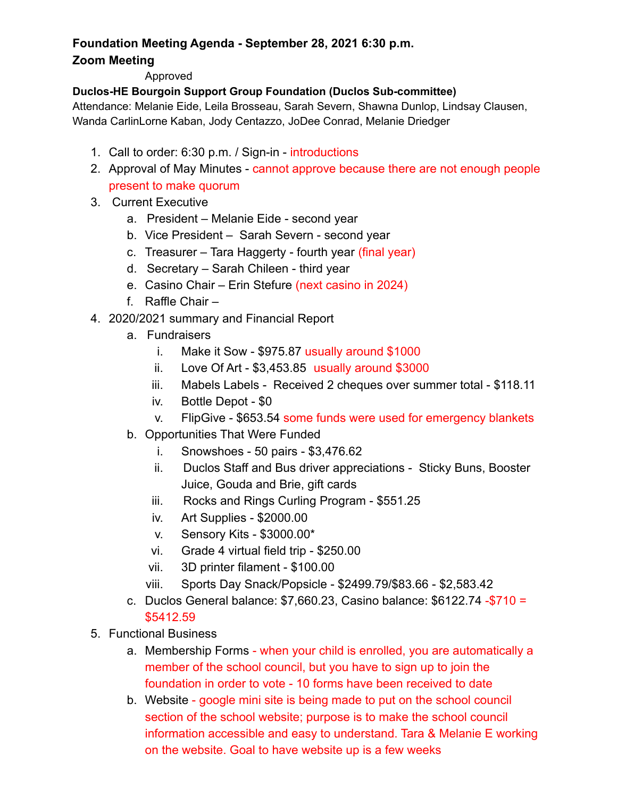## **Foundation Meeting Agenda - September 28, 2021 6:30 p.m. Zoom Meeting**

## Approved

**Duclos-HE Bourgoin Support Group Foundation (Duclos Sub-committee)**

Attendance: Melanie Eide, Leila Brosseau, Sarah Severn, Shawna Dunlop, Lindsay Clausen, Wanda CarlinLorne Kaban, Jody Centazzo, JoDee Conrad, Melanie Driedger

- 1. Call to order: 6:30 p.m. / Sign-in introductions
- 2. Approval of May Minutes cannot approve because there are not enough people present to make quorum
- 3. Current Executive
	- a. President Melanie Eide second year
	- b. Vice President Sarah Severn second year
	- c. Treasurer Tara Haggerty fourth year (final year)
	- d. Secretary Sarah Chileen third year
	- e. Casino Chair Erin Stefure (next casino in 2024)
	- f. Raffle Chair –
- 4. 2020/2021 summary and Financial Report
	- a. Fundraisers
		- i. Make it Sow \$975.87 usually around \$1000
		- ii. Love Of Art \$3,453.85 usually around \$3000
		- iii. Mabels Labels Received 2 cheques over summer total \$118.11
		- iv. Bottle Depot \$0
		- v. FlipGive \$653.54 some funds were used for emergency blankets
	- b. Opportunities That Were Funded
		- i. Snowshoes 50 pairs \$3,476.62
		- ii. Duclos Staff and Bus driver appreciations Sticky Buns, Booster Juice, Gouda and Brie, gift cards
		- iii. Rocks and Rings Curling Program \$551.25
		- iv. Art Supplies \$2000.00
		- v. Sensory Kits \$3000.00\*
		- vi. Grade 4 virtual field trip \$250.00
		- vii. 3D printer filament \$100.00
		- viii. Sports Day Snack/Popsicle \$2499.79/\$83.66 \$2,583.42
	- c. Duclos General balance:  $$7,660.23$ , Casino balance:  $$6122.74 $710 =$ \$5412.59
- 5. Functional Business
	- a. Membership Forms when your child is enrolled, you are automatically a member of the school council, but you have to sign up to join the foundation in order to vote - 10 forms have been received to date
	- b. Website google mini site is being made to put on the school council section of the school website; purpose is to make the school council information accessible and easy to understand. Tara & Melanie E working on the website. Goal to have website up is a few weeks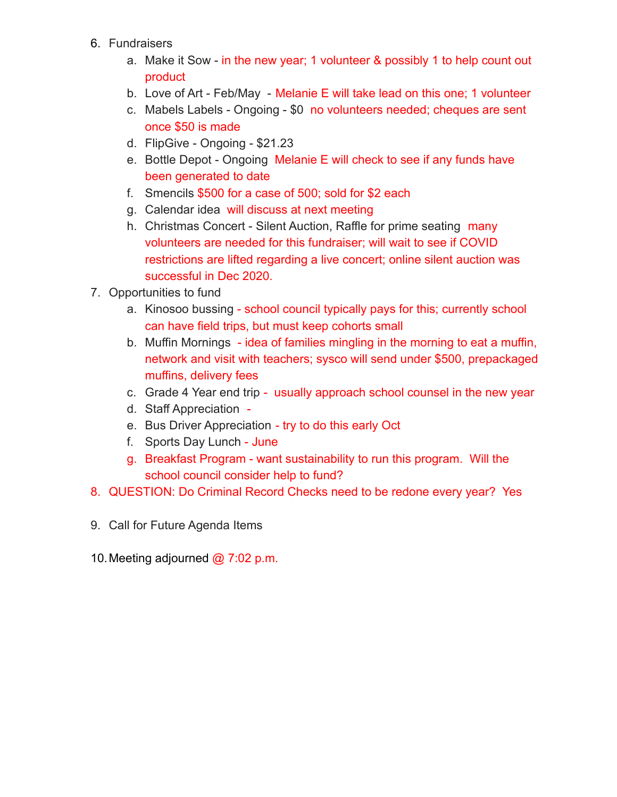- 6. Fundraisers
	- a. Make it Sow in the new year; 1 volunteer & possibly 1 to help count out product
	- b. Love of Art Feb/May Melanie E will take lead on this one; 1 volunteer
	- c. Mabels Labels Ongoing \$0 no volunteers needed; cheques are sent once \$50 is made
	- d. FlipGive Ongoing \$21.23
	- e. Bottle Depot Ongoing Melanie E will check to see if any funds have been generated to date
	- f. Smencils \$500 for a case of 500; sold for \$2 each
	- g. Calendar idea will discuss at next meeting
	- h. Christmas Concert Silent Auction, Raffle for prime seating many volunteers are needed for this fundraiser; will wait to see if COVID restrictions are lifted regarding a live concert; online silent auction was successful in Dec 2020.
- 7. Opportunities to fund
	- a. Kinosoo bussing school council typically pays for this; currently school can have field trips, but must keep cohorts small
	- b. Muffin Mornings idea of families mingling in the morning to eat a muffin, network and visit with teachers; sysco will send under \$500, prepackaged muffins, delivery fees
	- c. Grade 4 Year end trip usually approach school counsel in the new year
	- d. Staff Appreciation -
	- e. Bus Driver Appreciation try to do this early Oct
	- f. Sports Day Lunch June
	- g. Breakfast Program want sustainability to run this program. Will the school council consider help to fund?
- 8. QUESTION: Do Criminal Record Checks need to be redone every year? Yes
- 9. Call for Future Agenda Items
- 10.Meeting adjourned @ 7:02 p.m.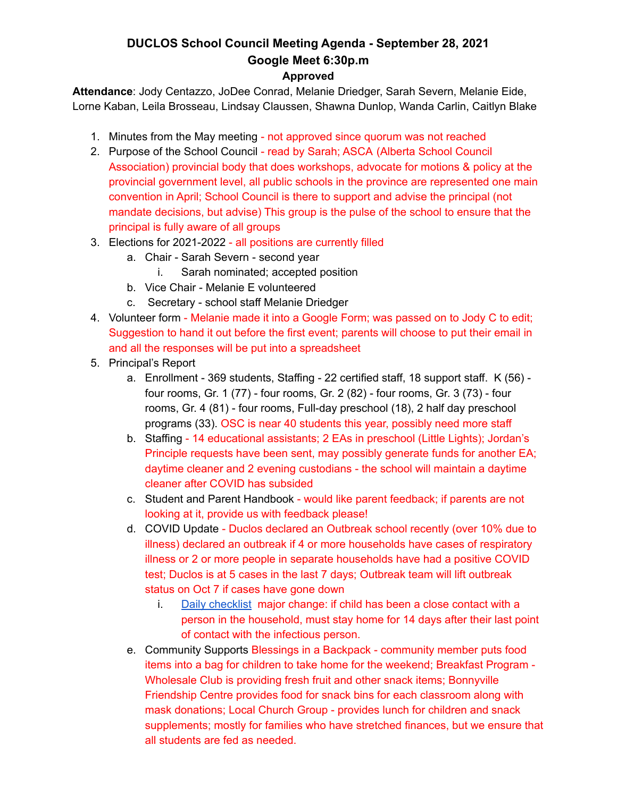## **DUCLOS School Council Meeting Agenda - September 28, 2021 Google Meet 6:30p.m**

## **Approved**

**Attendance**: Jody Centazzo, JoDee Conrad, Melanie Driedger, Sarah Severn, Melanie Eide, Lorne Kaban, Leila Brosseau, Lindsay Claussen, Shawna Dunlop, Wanda Carlin, Caitlyn Blake

- 1. Minutes from the May meeting not approved since quorum was not reached
- 2. Purpose of the School Council read by Sarah; ASCA (Alberta School Council Association) provincial body that does workshops, advocate for motions & policy at the provincial government level, all public schools in the province are represented one main convention in April; School Council is there to support and advise the principal (not mandate decisions, but advise) This group is the pulse of the school to ensure that the principal is fully aware of all groups
- 3. Elections for 2021-2022 all positions are currently filled
	- a. Chair Sarah Severn second year
		- i. Sarah nominated; accepted position
	- b. Vice Chair Melanie E volunteered
	- c. Secretary school staff Melanie Driedger
- 4. Volunteer form Melanie made it into a Google Form; was passed on to Jody C to edit; Suggestion to hand it out before the first event; parents will choose to put their email in and all the responses will be put into a spreadsheet
- 5. Principal's Report
	- a. Enrollment 369 students, Staffing 22 certified staff, 18 support staff. K (56) four rooms, Gr. 1 (77) - four rooms, Gr. 2 (82) - four rooms, Gr. 3 (73) - four rooms, Gr. 4 (81) - four rooms, Full-day preschool (18), 2 half day preschool programs (33). OSC is near 40 students this year, possibly need more staff
	- b. Staffing 14 educational assistants; 2 EAs in preschool (Little Lights); Jordan's Principle requests have been sent, may possibly generate funds for another EA; daytime cleaner and 2 evening custodians - the school will maintain a daytime cleaner after COVID has subsided
	- c. Student and Parent Handbook would like parent feedback; if parents are not looking at it, provide us with feedback please!
	- d. COVID Update Duclos declared an Outbreak school recently (over 10% due to illness) declared an outbreak if 4 or more households have cases of respiratory illness or 2 or more people in separate households have had a positive COVID test; Duclos is at 5 cases in the last 7 days; Outbreak team will lift outbreak status on Oct 7 if cases have gone down
		- i. Daily [checklist](https://open.alberta.ca/publications/covid-19-information-alberta-health-daily-checklist) major change: if child has been a close contact with a person in the household, must stay home for 14 days after their last point of contact with the infectious person.
	- e. Community Supports Blessings in a Backpack community member puts food items into a bag for children to take home for the weekend; Breakfast Program - Wholesale Club is providing fresh fruit and other snack items; Bonnyville Friendship Centre provides food for snack bins for each classroom along with mask donations; Local Church Group - provides lunch for children and snack supplements; mostly for families who have stretched finances, but we ensure that all students are fed as needed.